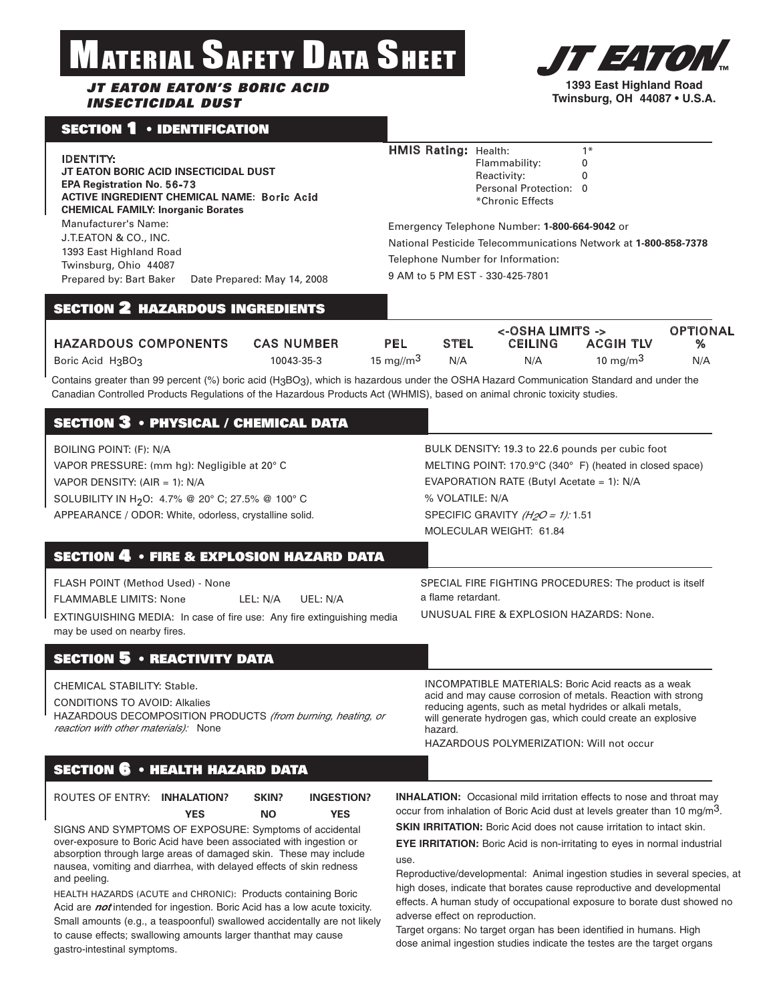# MATERIAL SAFETY DATA SHEET

## *JT EATON EATON'S BORIC ACID INSECTICIDAL DUST*

# SECTION 1 • IDENTIFICATION

#### IDENTITY:

**JT EATON BORIC ACID INSECTICIDAL DUST EPA Registration No.** 56-73 **ACTIVE INGREDIENT CHEMICAL NAME:** Boric Acid **CHEMICAL FAMILY: Inorganic Borates**

Manufacturer's Name: J.T.EATON & CO., INC. 1393 East Highland Road Twinsburg, Ohio 44087 Prepared by: Bart Baker Date Prepared: May 14, 2008

## HMIS Rating: Health: 1\*

Flammability: 0 Reactivity: 0 Personal Protection: 0 \*Chronic Effects

Emergency Telephone Number: **1-800-664-9042** or National Pesticide Telecommunications Network at **1-800-858-7378** Telephone Number for Information: 9 AM to 5 PM EST - 330-425-7801

# SECTION 2 HAZARDOUS INGREDIENTS

|                             |                   |               |             | <-OSHA LIMITS -> |                  | <b>OPTIONAL</b> |
|-----------------------------|-------------------|---------------|-------------|------------------|------------------|-----------------|
| <b>HAZARDOUS COMPONENTS</b> | <b>CAS NUMBER</b> | PEL           | <b>STEL</b> | <b>CEILING</b>   | <b>ACGIH TLV</b> |                 |
| Boric Acid $H_3BO_3$        | 10043-35-3        | 15 mg//m $^3$ | N/A         | N/A              | 10 mg/m $3$      | N/A             |

Contains greater than 99 percent (%) boric acid (H3BO3), which is hazardous under the OSHA Hazard Communication Standard and under the Canadian Controlled Products Regulations of the Hazardous Products Act (WHMIS), based on animal chronic toxicity studies.

| <b>BOILING POINT: (F): N/A</b><br>VAPOR PRESSURE: (mm hg): Negligible at 20° C<br>VAPOR DENSITY: $(AIR = 1)$ : N/A                                                                                         | BULK DENSITY: 19.3 to 22.6 pounds per cubic foot<br>MELTING POINT: 170.9°C (340°F) (heated in closed space)<br>EVAPORATION RATE (Butyl Acetate = 1): N/A<br>% VOLATILE: N/A<br>SPECIFIC GRAVITY $(H2O = 1)$ : 1.51                                                                                            |  |  |
|------------------------------------------------------------------------------------------------------------------------------------------------------------------------------------------------------------|---------------------------------------------------------------------------------------------------------------------------------------------------------------------------------------------------------------------------------------------------------------------------------------------------------------|--|--|
| SOLUBILITY IN H <sub>2</sub> O: 4.7% @ 20° C; 27.5% @ 100° C<br>APPEARANCE / ODOR: White, odorless, crystalline solid.                                                                                     | MOLECULAR WEIGHT: 61.84                                                                                                                                                                                                                                                                                       |  |  |
| <b>SECTION 4 • FIRE &amp; EXPLOSION HAZARD DATA</b>                                                                                                                                                        |                                                                                                                                                                                                                                                                                                               |  |  |
| FLASH POINT (Method Used) - None<br><b>FLAMMABLE LIMITS: None</b><br>LEL: N/A<br>UEL: N/A<br><b>EXTINGUISHING MEDIA:</b> In case of fire use: Any fire extinguishing media<br>may be used on nearby fires. | SPECIAL FIRE FIGHTING PROCEDURES: The product is itself<br>a flame retardant.<br>UNUSUAL FIRE & EXPLOSION HAZARDS: None.                                                                                                                                                                                      |  |  |
| <b>SECTION 5 · REACTIVITY DATA</b>                                                                                                                                                                         |                                                                                                                                                                                                                                                                                                               |  |  |
| CHEMICAL STABILITY: Stable.<br><b>CONDITIONS TO AVOID: Alkalies</b><br>HAZARDOUS DECOMPOSITION PRODUCTS (from burning, heating, or<br>reaction with other materials): None                                 | <b>INCOMPATIBLE MATERIALS: Boric Acid reacts as a weak</b><br>acid and may cause corrosion of metals. Reaction with strong<br>reducing agents, such as metal hydrides or alkali metals,<br>will generate hydrogen gas, which could create an explosive<br>hazard.<br>HAZARDOUS POLYMERIZATION: Will not occur |  |  |
| <b>SECTION 6 • HEALTH HAZARD DATA</b>                                                                                                                                                                      |                                                                                                                                                                                                                                                                                                               |  |  |

| ROUTES OF ENTRY: INHALATION? |            | SKIN? | <b>INGESTION?</b> |
|------------------------------|------------|-------|-------------------|
|                              | <b>YES</b> | NΟ    | <b>YES</b>        |

SIGNS AND SYMPTOMS OF EXPOSURE: Symptoms of accidental over-exposure to Boric Acid have been associated with ingestion or absorption through large areas of damaged skin. These may include nausea, vomiting and diarrhea, with delayed effects of skin redness and peeling.

HEALTH HAZARDS (ACUTE and CHRONIC): Products containing Boric Acid are *not* intended for ingestion. Boric Acid has a low acute toxicity. Small amounts (e.g., a teaspoonful) swallowed accidentally are not likely to cause effects; swallowing amounts larger thanthat may cause gastro-intestinal symptoms.

**INHALATION:** Occasional mild irritation effects to nose and throat may occur from inhalation of Boric Acid dust at levels greater than 10 mg/m3.

**SKIN IRRITATION:** Boric Acid does not cause irritation to intact skin.

**EYE IRRITATION:** Boric Acid is non-irritating to eyes in normal industrial use.

Reproductive/developmental: Animal ingestion studies in several species, at high doses, indicate that borates cause reproductive and developmental effects. A human study of occupational exposure to borate dust showed no adverse effect on reproduction.

Target organs: No target organ has been identified in humans. High dose animal ingestion studies indicate the testes are the target organs



**Twinsburg, OH 44087 • U.S.A.**